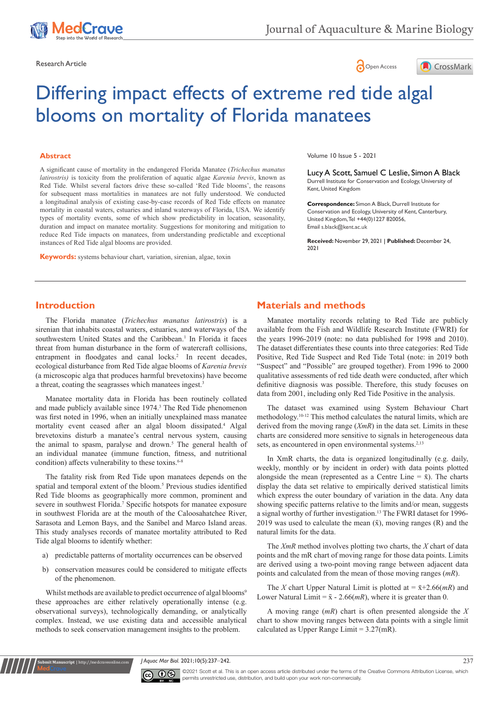





# Differing impact effects of extreme red tide algal blooms on mortality of Florida manatees

#### **Abstract**

A significant cause of mortality in the endangered Florida Manatee (*Trichechus manatus latirostris)* is toxicity from the proliferation of aquatic algae *Karenia brevis*, known as Red Tide. Whilst several factors drive these so-called 'Red Tide blooms', the reasons for subsequent mass mortalities in manatees are not fully understood. We conducted a longitudinal analysis of existing case-by-case records of Red Tide effects on manatee mortality in coastal waters, estuaries and inland waterways of Florida, USA. We identify types of mortality events, some of which show predictability in location, seasonality, duration and impact on manatee mortality. Suggestions for monitoring and mitigation to reduce Red Tide impacts on manatees, from understanding predictable and exceptional instances of Red Tide algal blooms are provided.

**Keywords:** systems behaviour chart, variation, sirenian, algae, toxin

Volume 10 Issue 5 - 2021

Lucy A Scott, Samuel C Leslie, Simon A Black Durrell Institute for Conservation and Ecology, University of Kent, United Kingdom

**Correspondence:** Simon A Black, Durrell Institute for Conservation and Ecology, University of Kent, Canterbury, United Kingdom, Tel +44(0)1227 820056, Email s.black@kent.ac.uk

**Received:** November 29, 2021 | **Published:** December 24, 2021

# **Introduction**

The Florida manatee (*Trichechus manatus latirostris*) is a sirenian that inhabits coastal waters, estuaries, and waterways of the southwestern United States and the Caribbean.<sup>1</sup> In Florida it faces threat from human disturbance in the form of watercraft collisions, entrapment in floodgates and canal locks.<sup>2</sup> In recent decades, ecological disturbance from Red Tide algae blooms of *Karenia brevis*  (a microscopic alga that produces harmful brevetoxins) have become a threat, coating the seagrasses which manatees ingest.<sup>3</sup>

Manatee mortality data in Florida has been routinely collated and made publicly available since 1974.<sup>3</sup> The Red Tide phenomenon was first noted in 1996, when an initially unexplained mass manatee mortality event ceased after an algal bloom dissipated.4 Algal brevetoxins disturb a manatee's central nervous system, causing the animal to spasm, paralyse and drown.<sup>5</sup> The general health of an individual manatee (immune function, fitness, and nutritional condition) affects vulnerability to these toxins.<sup>6-8</sup>

The fatality risk from Red Tide upon manatees depends on the spatial and temporal extent of the bloom.<sup>5</sup> Previous studies identified Red Tide blooms as geographically more common, prominent and severe in southwest Florida.<sup>7</sup> Specific hotspots for manatee exposure in southwest Florida are at the mouth of the Caloosahatchee River, Sarasota and Lemon Bays, and the Sanibel and Marco Island areas. This study analyses records of manatee mortality attributed to Red Tide algal blooms to identify whether:

- a) predictable patterns of mortality occurrences can be observed
- b) conservation measures could be considered to mitigate effects of the phenomenon.

Whilst methods are available to predict occurrence of algal blooms<sup>9</sup> these approaches are either relatively operationally intense (e.g. observational surveys), technologically demanding, or analytically complex. Instead, we use existing data and accessible analytical methods to seek conservation management insights to the problem.

**Krit Manuscript** | http://medcraveonline.c

# **Materials and methods**

Manatee mortality records relating to Red Tide are publicly available from the Fish and Wildlife Research Institute (FWRI) for the years 1996-2019 (note: no data published for 1998 and 2010). The dataset differentiates these counts into three categories: Red Tide Positive, Red Tide Suspect and Red Tide Total (note: in 2019 both "Suspect" and "Possible" are grouped together). From 1996 to 2000 qualitative assessments of red tide death were conducted, after which definitive diagnosis was possible. Therefore, this study focuses on data from 2001, including only Red Tide Positive in the analysis.

The dataset was examined using System Behaviour Chart methodology.10-12 This method calculates the natural limits, which are derived from the moving range (*XmR*) in the data set. Limits in these charts are considered more sensitive to signals in heterogeneous data sets, as encountered in open environmental systems.<sup>2,13</sup>

In XmR charts, the data is organized longitudinally (e.g. daily, weekly, monthly or by incident in order) with data points plotted alongside the mean (represented as a Centre Line  $= \bar{x}$ ). The charts display the data set relative to empirically derived statistical limits which express the outer boundary of variation in the data. Any data showing specific patterns relative to the limits and/or mean, suggests a signal worthy of further investigation.<sup>13</sup> The FWRI dataset for 1996-2019 was used to calculate the mean  $(\bar{x})$ , moving ranges  $(R)$  and the natural limits for the data.

The *XmR* method involves plotting two charts, the *X* chart of data points and the mR chart of moving range for those data points. Limits are derived using a two-point moving range between adjacent data points and calculated from the mean of those moving ranges (*mR*).

The *X* chart Upper Natural Limit is plotted at =  $\bar{x}+2.66(mR)$  and Lower Natural Limit =  $\bar{x}$  - 2.66(*mR*), where it is greater than 0.

A moving range (*mR*) chart is often presented alongside the *X*  chart to show moving ranges between data points with a single limit calculated as Upper Range Limit = 3.27(mR).

*J Aquac Mar Biol.* 2021;10(5):237‒242. 237



©2021 Scott et al. This is an open access article distributed under the terms of the [Creative Commons Attribution License](https://creativecommons.org/licenses/by-nc/4.0/), which permits unrestricted use, distribution, and build upon your work non-commercially.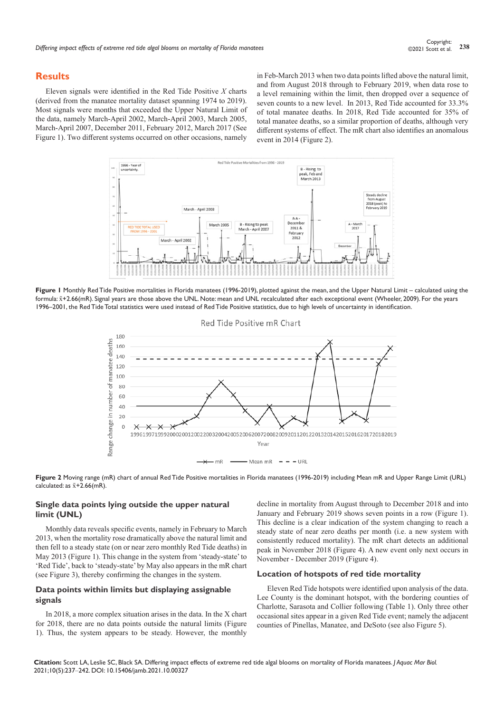## **Results**

Eleven signals were identified in the Red Tide Positive *X* charts (derived from the manatee mortality dataset spanning 1974 to 2019). Most signals were months that exceeded the Upper Natural Limit of the data, namely March-April 2002, March-April 2003, March 2005, March-April 2007, December 2011, February 2012, March 2017 (See Figure 1). Two different systems occurred on other occasions, namely in Feb-March 2013 when two data points lifted above the natural limit, and from August 2018 through to February 2019, when data rose to a level remaining within the limit, then dropped over a sequence of seven counts to a new level. In 2013, Red Tide accounted for 33.3% of total manatee deaths. In 2018, Red Tide accounted for 35% of total manatee deaths, so a similar proportion of deaths, although very different systems of effect. The mR chart also identifies an anomalous event in 2014 (Figure 2).



**Figure 1** Monthly Red Tide Positive mortalities in Florida manatees (1996-2019), plotted against the mean, and the Upper Natural Limit – calculated using the formula: x̄+2.66(mR). Signal years are those above the UNL. Note: mean and UNL recalculated after each exceptional event (Wheeler, 2009). For the years 1996–2001, the Red Tide Total statistics were used instead of Red Tide Positive statistics, due to high levels of uncertainty in identification.



**Figure 2** Moving range (mR) chart of annual Red Tide Positive mortalities in Florida manatees (1996-2019) including Mean mR and Upper Range Limit (URL) calculated: as  $\bar{x}$ +2.66(mR).

## **Single data points lying outside the upper natural limit (UNL)**

Monthly data reveals specific events, namely in February to March 2013, when the mortality rose dramatically above the natural limit and then fell to a steady state (on or near zero monthly Red Tide deaths) in May 2013 (Figure 1). This change in the system from 'steady-state' to 'Red Tide', back to 'steady-state' by May also appears in the mR chart (see Figure 3), thereby confirming the changes in the system.

## **Data points within limits but displaying assignable signals**

In 2018, a more complex situation arises in the data. In the X chart for 2018, there are no data points outside the natural limits (Figure 1). Thus, the system appears to be steady. However, the monthly

decline in mortality from August through to December 2018 and into January and February 2019 shows seven points in a row (Figure 1). This decline is a clear indication of the system changing to reach a steady state of near zero deaths per month (i.e. a new system with consistently reduced mortality). The mR chart detects an additional peak in November 2018 (Figure 4). A new event only next occurs in November - December 2019 (Figure 4).

#### **Location of hotspots of red tide mortality**

Eleven Red Tide hotspots were identified upon analysis of the data. Lee County is the dominant hotspot, with the bordering counties of Charlotte, Sarasota and Collier following (Table 1). Only three other occasional sites appear in a given Red Tide event; namely the adjacent counties of Pinellas, Manatee, and DeSoto (see also Figure 5).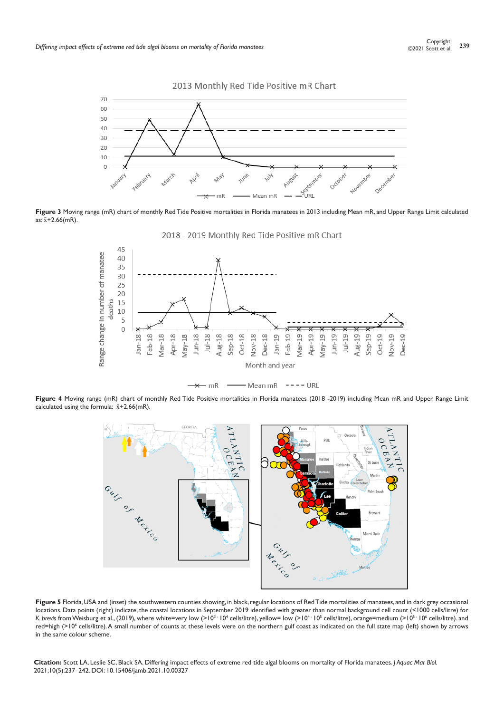

Figure 3 Moving range (mR) chart of monthly Red Tide Positive mortalities in Florida manatees in 2013 including Mean mR, and Upper Range Limit calculated as:  $\bar{x}$ +2.66(mR).





Figure 4 Moving range (mR) chart of monthly Red Tide Positive mortalities in Florida manatees (2018 -2019) including Mean mR and Upper Range Limit calculated using the formula:  $\bar{x}$ +2.66(mR).



Figure 5 Florida, USA and (inset) the southwestern counties showing, in black, regular locations of Red Tide mortalities of manatees, and in dark grey occasional locations. Data points (right) indicate, the coastal locations in September 2019 identified with greater than normal background cell count (<1000 cells/litre) for K. brevis from Weisburg et al., (2019), where white=very low (>10<sup>3 -</sup> 10<sup>4</sup> cells/litre), yellow= low (>10<sup>5 -</sup> 10<sup>5</sup> cells/litre), orange=medium (>10<sup>5 -</sup> 10<sup>6</sup> cells/litre). and red=high (>10<sup>6</sup> cells/litre). A small number of counts at these levels were on the northern gulf coast as indicated on the full state map (left) shown by arrows in the same colour scheme.

**Citation:** Scott LA, Leslie SC, Black SA. Differing impact effects of extreme red tide algal blooms on mortality of Florida manatees. *J Aquac Mar Biol.* 2021;10(5):237‒242. DOI: [10.15406/jamb.2021.10.00327](https://doi.org/10.15406/jamb.2021.10.00327)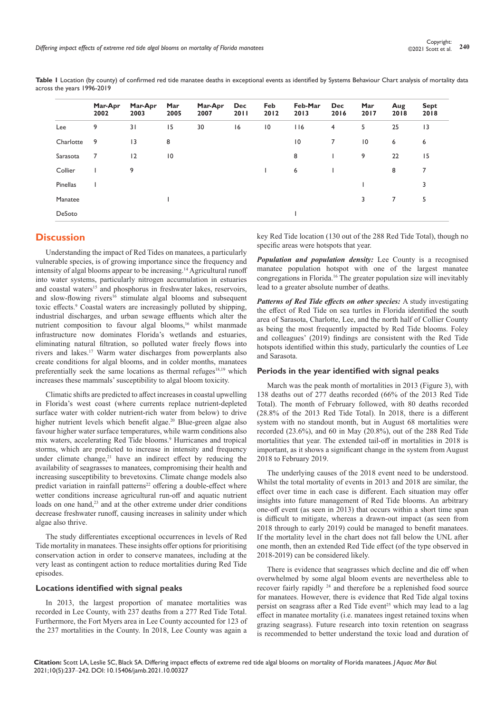**Table 1** Location (by county) of confirmed red tide manatee deaths in exceptional events as identified by Systems Behaviour Chart analysis of mortality data across the years 1996-2019

|           | Mar-Apr<br>2002 | Mar-Apr<br>2003 | Mar<br>2005 | Mar-Apr<br>2007 | <b>Dec</b><br>2011 | Feb<br>2012     | Feb-Mar<br>2013 | <b>Dec</b><br>2016 | Mar<br>2017     | Aug<br>2018 | <b>Sept</b><br>2018 |
|-----------|-----------------|-----------------|-------------|-----------------|--------------------|-----------------|-----------------|--------------------|-----------------|-------------|---------------------|
| Lee       | 9               | 31              | 15          | 30              | 16                 | $\overline{10}$ | 116             | 4                  | 5               | 25          | 13                  |
| Charlotte | 9               | 13              | 8           |                 |                    |                 | 10              | $\overline{7}$     | $\overline{10}$ | 6           | 6                   |
| Sarasota  | 7               | 12              | 10          |                 |                    |                 | 8               |                    | 9               | 22          | 15                  |
| Collier   |                 | 9               |             |                 |                    |                 | 6               |                    |                 | 8           | 7                   |
| Pinellas  |                 |                 |             |                 |                    |                 |                 |                    |                 |             | 3                   |
| Manatee   |                 |                 |             |                 |                    |                 |                 |                    | 3               | 7           | 5                   |
| DeSoto    |                 |                 |             |                 |                    |                 |                 |                    |                 |             |                     |

## **Discussion**

Understanding the impact of Red Tides on manatees, a particularly vulnerable species, is of growing importance since the frequency and intensity of algal blooms appear to be increasing.14 Agricultural runoff into water systems, particularly nitrogen accumulation in estuaries and coastal waters<sup>15</sup> and phosphorus in freshwater lakes, reservoirs, and slow-flowing rivers<sup>16</sup> stimulate algal blooms and subsequent toxic effects.<sup>9</sup> Coastal waters are increasingly polluted by shipping, industrial discharges, and urban sewage effluents which alter the nutrient composition to favour algal blooms,<sup>16</sup> whilst manmade infrastructure now dominates Florida's wetlands and estuaries, eliminating natural filtration, so polluted water freely flows into rivers and lakes.17 Warm water discharges from powerplants also create conditions for algal blooms, and in colder months, manatees preferentially seek the same locations as thermal refuges $18,19$  which increases these mammals' susceptibility to algal bloom toxicity.

Climatic shifts are predicted to affect increases in coastal upwelling in Florida's west coast (where currents replace nutrient-depleted surface water with colder nutrient-rich water from below) to drive higher nutrient levels which benefit algae.<sup>20</sup> Blue-green algae also favour higher water surface temperatures, while warm conditions also mix waters, accelerating Red Tide blooms.<sup>9</sup> Hurricanes and tropical storms, which are predicted to increase in intensity and frequency under climate change, $21$  have an indirect effect by reducing the availability of seagrasses to manatees, compromising their health and increasing susceptibility to brevetoxins. Climate change models also predict variation in rainfall patterns<sup>22</sup> offering a double-effect where wetter conditions increase agricultural run-off and aquatic nutrient loads on one hand,<sup>23</sup> and at the other extreme under drier conditions decrease freshwater runoff, causing increases in salinity under which algae also thrive.

The study differentiates exceptional occurrences in levels of Red Tide mortality in manatees. These insights offer options for prioritising conservation action in order to conserve manatees, including at the very least as contingent action to reduce mortalities during Red Tide episodes.

### **Locations identified with signal peaks**

In 2013, the largest proportion of manatee mortalities was recorded in Lee County, with 237 deaths from a 277 Red Tide Total. Furthermore, the Fort Myers area in Lee County accounted for 123 of the 237 mortalities in the County. In 2018, Lee County was again a key Red Tide location (130 out of the 288 Red Tide Total), though no specific areas were hotspots that year.

*Population and population density:* Lee County is a recognised manatee population hotspot with one of the largest manatee congregations in Florida.16 The greater population size will inevitably lead to a greater absolute number of deaths.

*Patterns of Red Tide effects on other species:* A study investigating the effect of Red Tide on sea turtles in Florida identified the south area of Sarasota, Charlotte, Lee, and the north half of Collier County as being the most frequently impacted by Red Tide blooms. Foley and colleagues' (2019) findings are consistent with the Red Tide hotspots identified within this study, particularly the counties of Lee and Sarasota.

#### **Periods in the year identified with signal peaks**

March was the peak month of mortalities in 2013 (Figure 3), with 138 deaths out of 277 deaths recorded (66% of the 2013 Red Tide Total). The month of February followed, with 80 deaths recorded (28.8% of the 2013 Red Tide Total). In 2018, there is a different system with no standout month, but in August 68 mortalities were recorded (23.6%), and 60 in May (20.8%), out of the 288 Red Tide mortalities that year. The extended tail-off in mortalities in 2018 is important, as it shows a significant change in the system from August 2018 to February 2019.

The underlying causes of the 2018 event need to be understood. Whilst the total mortality of events in 2013 and 2018 are similar, the effect over time in each case is different. Each situation may offer insights into future management of Red Tide blooms. An arbitrary one-off event (as seen in 2013) that occurs within a short time span is difficult to mitigate, whereas a drawn-out impact (as seen from 2018 through to early 2019) could be managed to benefit manatees. If the mortality level in the chart does not fall below the UNL after one month, then an extended Red Tide effect (of the type observed in 2018-2019) can be considered likely.

There is evidence that seagrasses which decline and die off when overwhelmed by some algal bloom events are nevertheless able to recover fairly rapidly 24 and therefore be a replenished food source for manatees. However, there is evidence that Red Tide algal toxins persist on seagrass after a Red Tide event<sup>25</sup> which may lead to a lag effect in manatee mortality (i.e. manatees ingest retained toxins when grazing seagrass). Future research into toxin retention on seagrass is recommended to better understand the toxic load and duration of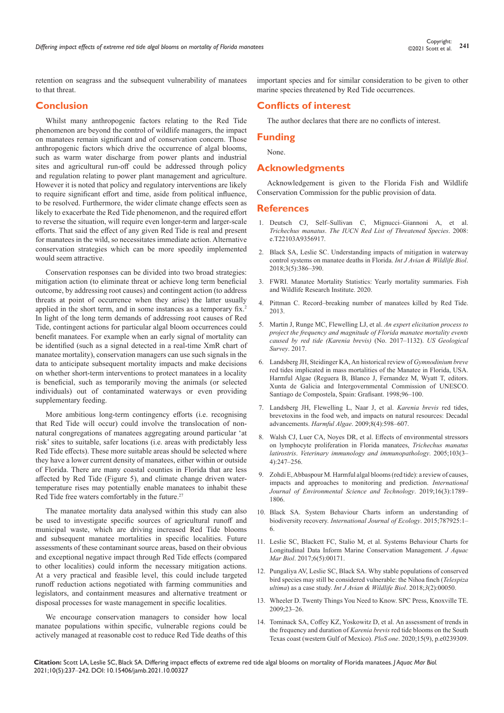retention on seagrass and the subsequent vulnerability of manatees to that threat.

# **Conclusion**

Whilst many anthropogenic factors relating to the Red Tide phenomenon are beyond the control of wildlife managers, the impact on manatees remain significant and of conservation concern. Those anthropogenic factors which drive the occurrence of algal blooms, such as warm water discharge from power plants and industrial sites and agricultural run-off could be addressed through policy and regulation relating to power plant management and agriculture. However it is noted that policy and regulatory interventions are likely to require significant effort and time, aside from political influence, to be resolved. Furthermore, the wider climate change effects seen as likely to exacerbate the Red Tide phenomenon, and the required effort to reverse the situation, will require even longer-term and larger-scale efforts. That said the effect of any given Red Tide is real and present for manatees in the wild, so necessitates immediate action. Alternative conservation strategies which can be more speedily implemented would seem attractive.

Conservation responses can be divided into two broad strategies: mitigation action (to eliminate threat or achieve long term beneficial outcome, by addressing root causes) and contingent action (to address threats at point of occurrence when they arise) the latter usually applied in the short term, and in some instances as a temporary fix.<sup>2</sup> In light of the long term demands of addressing root causes of Red Tide, contingent actions for particular algal bloom occurrences could benefit manatees. For example when an early signal of mortality can be identified (such as a signal detected in a real-time XmR chart of manatee mortality), conservation managers can use such signals in the data to anticipate subsequent mortality impacts and make decisions on whether short-term interventions to protect manatees in a locality is beneficial, such as temporarily moving the animals (or selected individuals) out of contaminated waterways or even providing supplementary feeding.

More ambitious long-term contingency efforts (i.e. recognising that Red Tide will occur) could involve the translocation of nonnatural congregations of manatees aggregating around particular 'at risk' sites to suitable, safer locations (i.e. areas with predictably less Red Tide effects). These more suitable areas should be selected where they have a lower current density of manatees, either within or outside of Florida. There are many coastal counties in Florida that are less affected by Red Tide (Figure 5), and climate change driven watertemperature rises may potentially enable manatees to inhabit these Red Tide free waters comfortably in the future.<sup>27</sup>

The manatee mortality data analysed within this study can also be used to investigate specific sources of agricultural runoff and municipal waste, which are driving increased Red Tide blooms and subsequent manatee mortalities in specific localities. Future assessments of these contaminant source areas, based on their obvious and exceptional negative impact through Red Tide effects (compared to other localities) could inform the necessary mitigation actions. At a very practical and feasible level, this could include targeted runoff reduction actions negotiated with farming communities and legislators, and containment measures and alternative treatment or disposal processes for waste management in specific localities.

We encourage conservation managers to consider how local manatee populations within specific, vulnerable regions could be actively managed at reasonable cost to reduce Red Tide deaths of this

important species and for similar consideration to be given to other marine species threatened by Red Tide occurrences.

# **Conflicts of interest**

The author declares that there are no conflicts of interest.

## **Funding**

None.

# **Acknowledgments**

Acknowledgement is given to the Florida Fish and Wildlife Conservation Commission for the public provision of data.

### **References**

- 1. [Deutsch CJ, Self–Sullivan C, Mignucci–Giannoni A, et al.](https://dx.doi.org/10.2305/IUCN.UK.2008.RLTS.T22103A9356917.en)  *Trichechus manatus*. *[The IUCN Red List of Threatened Species](https://dx.doi.org/10.2305/IUCN.UK.2008.RLTS.T22103A9356917.en)*. 2008: [e.T22103A9356917.](https://dx.doi.org/10.2305/IUCN.UK.2008.RLTS.T22103A9356917.en)
- 2. [Black SA, Leslie SC. Understanding impacts of mitigation in waterway](https://medcraveonline.com/IJAWB/understanding-impact-of-mitigation-in-waterway-control-systems-on-manatee-deaths-in-florida.html)  [control systems on manatee deaths in Florida.](https://medcraveonline.com/IJAWB/understanding-impact-of-mitigation-in-waterway-control-systems-on-manatee-deaths-in-florida.html) *Int J Avian & Wildlife Biol*. [2018;3\(5\):386–390.](https://medcraveonline.com/IJAWB/understanding-impact-of-mitigation-in-waterway-control-systems-on-manatee-deaths-in-florida.html)
- 3. [FWRI. Manatee Mortality Statistics: Yearly mortality summaries. Fish](https://myfwc.com/research/manatee/rescue-mortality-response/statistics/mortality/)  [and Wildlife Research Institute. 2020.](https://myfwc.com/research/manatee/rescue-mortality-response/statistics/mortality/)
- 4. [Pittman C. Record–breaking number of manatees killed by Red Tide.](https://www.tampabay.com/news/environment/wildlife/record-breaking-number-of-manatees-killed-by-red-tide/2107931)  [2013.](https://www.tampabay.com/news/environment/wildlife/record-breaking-number-of-manatees-killed-by-red-tide/2107931)
- 5. [Martin J, Runge MC, Flewelling LJ, et al.](https://pubs.er.usgs.gov/publication/ofr20171132) *An expert elicitation process to [project the frequency and magnitude of Florida manatee mortality events](https://pubs.er.usgs.gov/publication/ofr20171132)  [caused by red tide \(Karenia brevis\)](https://pubs.er.usgs.gov/publication/ofr20171132)* (No. 2017–1132). *US Geological Survey*[. 2017.](https://pubs.er.usgs.gov/publication/ofr20171132)
- 6. [Landsberg JH, Steidinger KA, An historical review of](https://www.scienceopen.com/document?vid=19428c26-c6f9-414f-8c3f-edcb2076d6e1) *Gymnodinium breve* [red tides implicated in mass mortalities of the Manatee in Florida, USA.](https://www.scienceopen.com/document?vid=19428c26-c6f9-414f-8c3f-edcb2076d6e1)  [Harmful Algae \(Reguera B, Blanco J, Fernandez M, Wyatt T, editors.](https://www.scienceopen.com/document?vid=19428c26-c6f9-414f-8c3f-edcb2076d6e1)  [Xunta de Galicia and Intergovernmental Commission of UNESCO.](https://www.scienceopen.com/document?vid=19428c26-c6f9-414f-8c3f-edcb2076d6e1)  [Santiago de Compostela, Spain: Grafisant. 1998;96–100.](https://www.scienceopen.com/document?vid=19428c26-c6f9-414f-8c3f-edcb2076d6e1)
- 7. [Landsberg JH, Flewelling L, Naar J, et al.](https://www.sciencedirect.com/science/article/abs/pii/S1568988308001571) *Karenia brevis* red tides, [brevetoxins in the food web, and impacts on natural resources: Decadal](https://www.sciencedirect.com/science/article/abs/pii/S1568988308001571)  advancements. *Harmful Algae*[. 2009;8\(4\):598–607.](https://www.sciencedirect.com/science/article/abs/pii/S1568988308001571)
- 8. [Walsh CJ, Luer CA, Noyes DR, et al. Effects of environmental stressors](https://pubmed.ncbi.nlm.nih.gov/15621310/)  [on lymphocyte proliferation in Florida manatees,](https://pubmed.ncbi.nlm.nih.gov/15621310/) *Trichechus manatus latirostris*. *[Veterinary immunology and immunopathology](https://pubmed.ncbi.nlm.nih.gov/15621310/)*. 2005;103(3– [4\):247–256.](https://pubmed.ncbi.nlm.nih.gov/15621310/)
- 9. [Zohdi E, Abbaspour M. Harmful algal blooms \(red tide\): a review of causes,](https://link.springer.com/article/10.1007/s13762-018-2108-x)  [impacts and approaches to monitoring and prediction.](https://link.springer.com/article/10.1007/s13762-018-2108-x) *International [Journal of Environmental Science and Technology](https://link.springer.com/article/10.1007/s13762-018-2108-x)*. 2019;16(3):1789– [1806.](https://link.springer.com/article/10.1007/s13762-018-2108-x)
- 10. Black SA. System Behaviour Charts inform an understanding of biodiversity recovery. *International Journal of Ecology*. 2015;787925:1– 6.
- 11. [Leslie SC, Blackett FC, Stalio M, et al. Systems Behaviour Charts for](https://medcraveonline.com/JAMB/systems-behaviour-charts-for-longitudinal-data-inform-marine-conservation-management.html)  [Longitudinal Data Inform Marine Conservation Management.](https://medcraveonline.com/JAMB/systems-behaviour-charts-for-longitudinal-data-inform-marine-conservation-management.html) *J Aquac Mar Biol*[. 2017;6\(5\):00171.](https://medcraveonline.com/JAMB/systems-behaviour-charts-for-longitudinal-data-inform-marine-conservation-management.html)
- 12. Pungaliya AV, Leslie SC, Black SA. Why stable populations of conserved bird species may still be considered vulnerable: the Nihoa finch (*Telespiza ultima*) as a case study. *Int J Avian & Wildlife Biol*. 2018;*3*(2):00050.
- 13. [Wheeler D. Twenty Things You Need to Know. SPC Press, Knoxville TE.](https://www.spcpress.com/book_twenty_things.php)   $2009.23 - 26$
- 14. [Tominack SA, Coffey KZ, Yoskowitz D, et al. An assessment of trends in](https://pubmed.ncbi.nlm.nih.gov/32946494/)  [the frequency and duration of](https://pubmed.ncbi.nlm.nih.gov/32946494/) *Karenia brevis* red tide blooms on the South [Texas coast \(western Gulf of Mexico\).](https://pubmed.ncbi.nlm.nih.gov/32946494/) *PloS one*. 2020;15(9), p.e0239309.